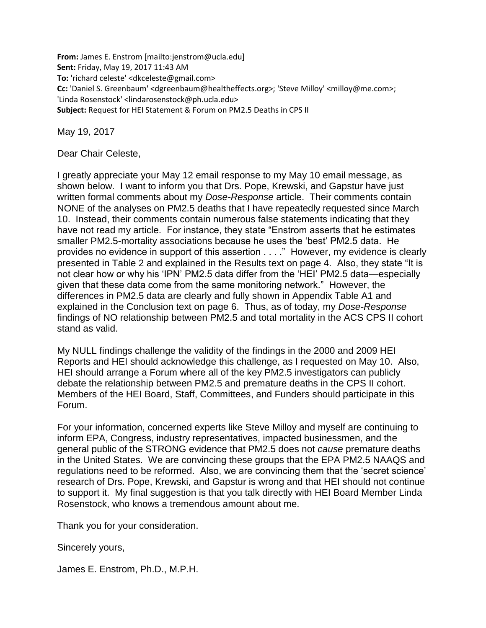**From:** James E. Enstrom [mailto:jenstrom@ucla.edu] **Sent:** Friday, May 19, 2017 11:43 AM **To:** 'richard celeste' <dkceleste@gmail.com> **Cc:** 'Daniel S. Greenbaum' <dgreenbaum@healtheffects.org>; 'Steve Milloy' <milloy@me.com>; 'Linda Rosenstock' <lindarosenstock@ph.ucla.edu> **Subject:** Request for HEI Statement & Forum on PM2.5 Deaths in CPS II

May 19, 2017

Dear Chair Celeste,

I greatly appreciate your May 12 email response to my May 10 email message, as shown below. I want to inform you that Drs. Pope, Krewski, and Gapstur have just written formal comments about my *Dose-Response* article. Their comments contain NONE of the analyses on PM2.5 deaths that I have repeatedly requested since March 10. Instead, their comments contain numerous false statements indicating that they have not read my article. For instance, they state "Enstrom asserts that he estimates smaller PM2.5-mortality associations because he uses the 'best' PM2.5 data. He provides no evidence in support of this assertion . . . ." However, my evidence is clearly presented in Table 2 and explained in the Results text on page 4. Also, they state "It is not clear how or why his 'IPN' PM2.5 data differ from the 'HEI' PM2.5 data—especially given that these data come from the same monitoring network." However, the differences in PM2.5 data are clearly and fully shown in Appendix Table A1 and explained in the Conclusion text on page 6. Thus, as of today, my *Dose-Response* findings of NO relationship between PM2.5 and total mortality in the ACS CPS II cohort stand as valid.

My NULL findings challenge the validity of the findings in the 2000 and 2009 HEI Reports and HEI should acknowledge this challenge, as I requested on May 10. Also, HEI should arrange a Forum where all of the key PM2.5 investigators can publicly debate the relationship between PM2.5 and premature deaths in the CPS II cohort. Members of the HEI Board, Staff, Committees, and Funders should participate in this Forum.

For your information, concerned experts like Steve Milloy and myself are continuing to inform EPA, Congress, industry representatives, impacted businessmen, and the general public of the STRONG evidence that PM2.5 does not *cause* premature deaths in the United States. We are convincing these groups that the EPA PM2.5 NAAQS and regulations need to be reformed. Also, we are convincing them that the 'secret science' research of Drs. Pope, Krewski, and Gapstur is wrong and that HEI should not continue to support it. My final suggestion is that you talk directly with HEI Board Member Linda Rosenstock, who knows a tremendous amount about me.

Thank you for your consideration.

Sincerely yours,

James E. Enstrom, Ph.D., M.P.H.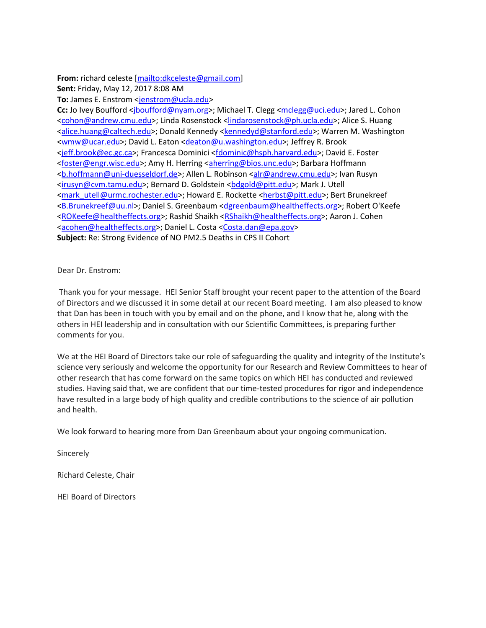## **From:** richard celeste [\[mailto:dkceleste@gmail.com\]](mailto:dkceleste@gmail.com)

**Sent:** Friday, May 12, 2017 8:08 AM

To: James E. Enstrom [<jenstrom@ucla.edu>](mailto:jenstrom@ucla.edu)

**Cc:** Jo Ivey Boufford <*jboufford@nyam.org>*; Michael T. Clegg [<mclegg@uci.edu>](mailto:mclegg@uci.edu); Jared L. Cohon [<cohon@andrew.cmu.edu>](mailto:cohon@andrew.cmu.edu); Linda Rosenstock [<lindarosenstock@ph.ucla.edu>](mailto:lindarosenstock@ph.ucla.edu); Alice S. Huang [<alice.huang@caltech.edu>](mailto:alice.huang@caltech.edu); Donald Kennedy [<kennedyd@stanford.edu>](mailto:kennedyd@stanford.edu); Warren M. Washington [<wmw@ucar.edu>](mailto:wmw@ucar.edu); David L. Eaton [<deaton@u.washington.edu>](mailto:deaton@u.washington.edu); Jeffrey R. Brook [<jeff.brook@ec.gc.ca>](mailto:jeff.brook@ec.gc.ca); Francesca Dominici [<fdominic@hsph.harvard.edu>](mailto:fdominic@hsph.harvard.edu); David E. Foster [<foster@engr.wisc.edu>](mailto:foster@engr.wisc.edu); Amy H. Herring [<aherring@bios.unc.edu>](mailto:aherring@bios.unc.edu); Barbara Hoffmann [<b.hoffmann@uni-duesseldorf.de>](mailto:b.hoffmann@uni-duesseldorf.de); Allen L. Robinson [<alr@andrew.cmu.edu>](mailto:alr@andrew.cmu.edu); Ivan Rusyn [<irusyn@cvm.tamu.edu>](mailto:irusyn@cvm.tamu.edu); Bernard D. Goldstein <br/>bdgold@pitt.edu>; Mark J. Utell [<mark\\_utell@urmc.rochester.edu>](mailto:mark_utell@urmc.rochester.edu); Howard E. Rockette [<herbst@pitt.edu>](mailto:herbst@pitt.edu); Bert Brunekreef [<B.Brunekreef@uu.nl>](mailto:B.Brunekreef@uu.nl); Daniel S. Greenbaum [<dgreenbaum@healtheffects.org>](mailto:dgreenbaum@healtheffects.org); Robert O'Keefe [<ROKeefe@healtheffects.org>](mailto:ROKeefe@healtheffects.org); Rashid Shaikh [<RShaikh@healtheffects.org>](mailto:RShaikh@healtheffects.org); Aaron J. Cohen [<acohen@healtheffects.org>](mailto:acohen@healtheffects.org); Daniel L. Costa [<Costa.dan@epa.gov>](mailto:Costa.dan@epa.gov) **Subject:** Re: Strong Evidence of NO PM2.5 Deaths in CPS II Cohort

## Dear Dr. Enstrom:

Thank you for your message. HEI Senior Staff brought your recent paper to the attention of the Board of Directors and we discussed it in some detail at our recent Board meeting. I am also pleased to know that Dan has been in touch with you by email and on the phone, and I know that he, along with the others in HEI leadership and in consultation with our Scientific Committees, is preparing further comments for you.

We at the HEI Board of Directors take our role of safeguarding the quality and integrity of the Institute's science very seriously and welcome the opportunity for our Research and Review Committees to hear of other research that has come forward on the same topics on which HEI has conducted and reviewed studies. Having said that, we are confident that our time-tested procedures for rigor and independence have resulted in a large body of high quality and credible contributions to the science of air pollution and health.

We look forward to hearing more from Dan Greenbaum about your ongoing communication.

**Sincerely** 

Richard Celeste, Chair

HEI Board of Directors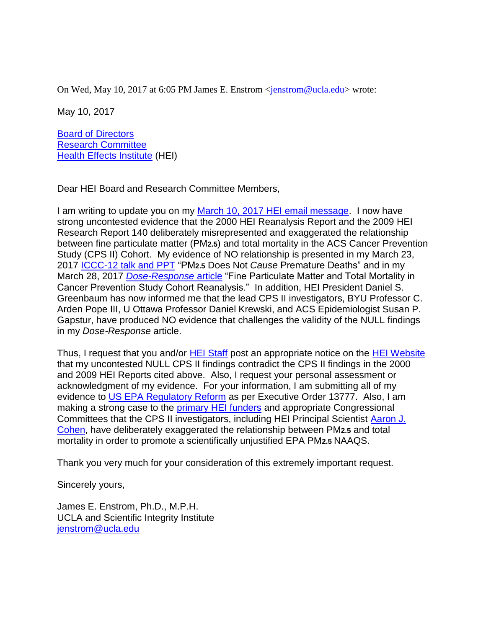On Wed, May 10, 2017 at 6:05 PM James E. Enstrom [<jenstrom@ucla.edu>](mailto:jenstrom@ucla.edu) wrote:

May 10, 2017

[Board of Directors](https://www.healtheffects.org/about/board) [Research Committee](https://www.healtheffects.org/about/research-committee) [Health Effects Institute](https://www.healtheffects.org/) (HEI)

Dear HEI Board and Research Committee Members,

I am writing to update you on my [March 10, 2017 HEI email message.](http://www.scientificintegrityinstitute.org/greenbaum031017.pdf) I now have strong uncontested evidence that the 2000 HEI Reanalysis Report and the 2009 HEI Research Report 140 deliberately misrepresented and exaggerated the relationship between fine particulate matter (PM**2.5**) and total mortality in the ACS Cancer Prevention Study (CPS II) Cohort. My evidence of NO relationship is presented in my March 23, 2017 [ICCC-12 talk and PPT](http://climateconference.heartland.org/Session/panel-4a/) "PM**2.5** Does Not *Cause* Premature Deaths" and in my March 28, 2017 *[Dose-Response](http://journals.sagepub.com/doi/full/10.1177/1559325817693345)* article "Fine Particulate Matter and Total Mortality in Cancer Prevention Study Cohort Reanalysis." In addition, HEI President Daniel S. Greenbaum has now informed me that the lead CPS II investigators, BYU Professor C. Arden Pope III, U Ottawa Professor Daniel Krewski, and ACS Epidemiologist Susan P. Gapstur, have produced NO evidence that challenges the validity of the NULL findings in my *Dose-Response* article.

Thus, I request that you and/or [HEI Staff](https://www.healtheffects.org/about/staff) post an appropriate notice on the [HEI Website](https://www.healtheffects.org/) that my uncontested NULL CPS II findings contradict the CPS II findings in the 2000 and 2009 HEI Reports cited above. Also, I request your personal assessment or acknowledgment of my evidence. For your information, I am submitting all of my evidence to [US EPA Regulatory Reform](https://www.epa.gov/laws-regulations/regulatory-reform) as per Executive Order 13777. Also, I am making a strong case to the [primary HEI funders](https://www.healtheffects.org/about/sponsors) and appropriate Congressional Committees that the CPS II investigators, including HEI Principal Scientist [Aaron J.](https://www.healtheffects.org/about/staff/aaron-j-cohen)  [Cohen,](https://www.healtheffects.org/about/staff/aaron-j-cohen) have deliberately exaggerated the relationship between PM**2.5** and total mortality in order to promote a scientifically unjustified EPA PM**2.5** NAAQS.

Thank you very much for your consideration of this extremely important request.

Sincerely yours,

James E. Enstrom, Ph.D., M.P.H. UCLA and Scientific Integrity Institute [jenstrom@ucla.edu](mailto:jenstrom@ucla.edu)